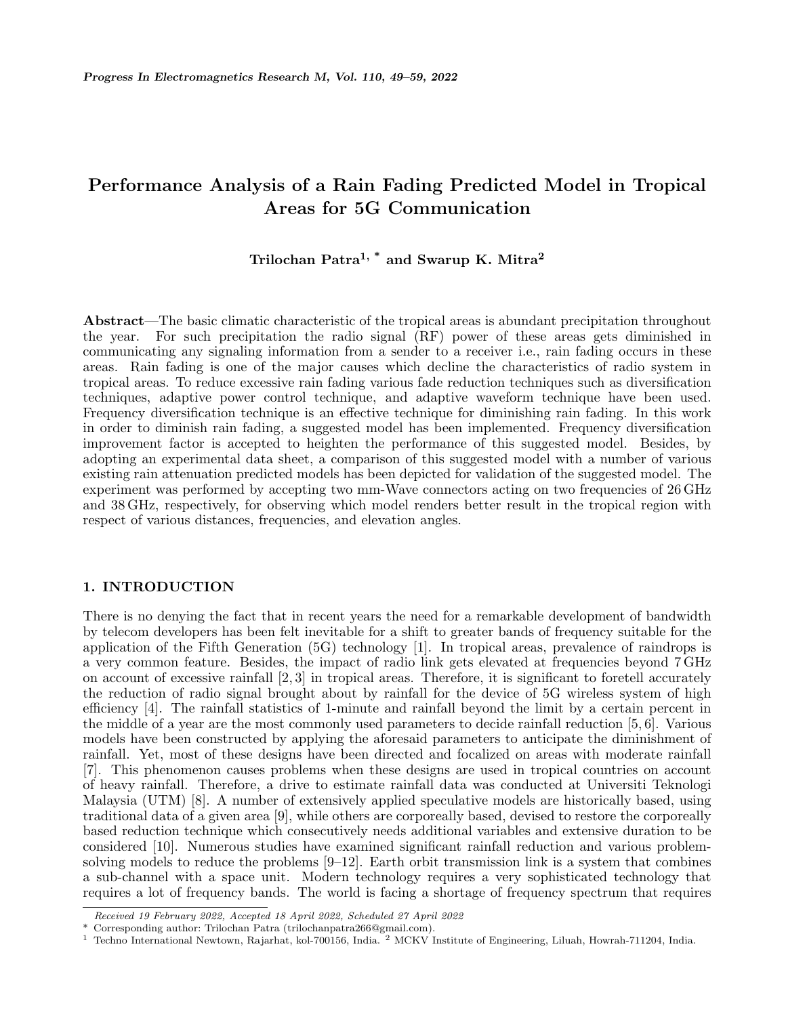# **Performance Analysis of a Rain Fading Predicted Model in Tropical Areas for 5G Communication**

## **Trilochan Patra1, \* and Swarup K. Mitra<sup>2</sup>**

**Abstract**—The basic climatic characteristic of the tropical areas is abundant precipitation throughout the year. For such precipitation the radio signal (RF) power of these areas gets diminished in communicating any signaling information from a sender to a receiver i.e., rain fading occurs in these areas. Rain fading is one of the major causes which decline the characteristics of radio system in tropical areas. To reduce excessive rain fading various fade reduction techniques such as diversification techniques, adaptive power control technique, and adaptive waveform technique have been used. Frequency diversification technique is an effective technique for diminishing rain fading. In this work in order to diminish rain fading, a suggested model has been implemented. Frequency diversification improvement factor is accepted to heighten the performance of this suggested model. Besides, by adopting an experimental data sheet, a comparison of this suggested model with a number of various existing rain attenuation predicted models has been depicted for validation of the suggested model. The experiment was performed by accepting two mm-Wave connectors acting on two frequencies of 26 GHz and 38 GHz, respectively, for observing which model renders better result in the tropical region with respect of various distances, frequencies, and elevation angles.

## **1. INTRODUCTION**

There is no denying the fact that in recent years the need for a remarkable development of bandwidth by telecom developers has been felt inevitable for a shift to greater bands of frequency suitable for the application of the Fifth Generation (5G) technology [1]. In tropical areas, prevalence of raindrops is a very common feature. Besides, the impact of radio link gets elevated at frequencies beyond 7 GHz on account of excessive rainfall [2, 3] in tropical areas. Therefore, it is significant to foretell accurately the reduction of radio signal brought about by rainfall for the device of 5G wireless system of high efficiency [4]. The rainfall statistics of 1-minute and rainfall beyond the limit by a certain percent in the middle of a year are the most commonly used parameters to decide rainfall reduction [5, 6]. Various models have been constructed by applying the aforesaid parameters to anticipate the diminishment of rainfall. Yet, most of these designs have been directed and focalized on areas with moderate rainfall [7]. This phenomenon causes problems when these designs are used in tropical countries on account of heavy rainfall. Therefore, a drive to estimate rainfall data was conducted at Universiti Teknologi Malaysia (UTM) [8]. A number of extensively applied speculative models are historically based, using traditional data of a given area [9], while others are corporeally based, devised to restore the corporeally based reduction technique which consecutively needs additional variables and extensive duration to be considered [10]. Numerous studies have examined significant rainfall reduction and various problemsolving models to reduce the problems [9–12]. Earth orbit transmission link is a system that combines a sub-channel with a space unit. Modern technology requires a very sophisticated technology that requires a lot of frequency bands. The world is facing a shortage of frequency spectrum that requires

*Received 19 February 2022, Accepted 18 April 2022, Scheduled 27 April 2022*

Corresponding author: Trilochan Patra (trilochanpatra266@gmail.com).

<sup>1</sup> Techno International Newtown, Rajarhat, kol-700156, India. <sup>2</sup> MCKV Institute of Engineering, Liluah, Howrah-711204, India.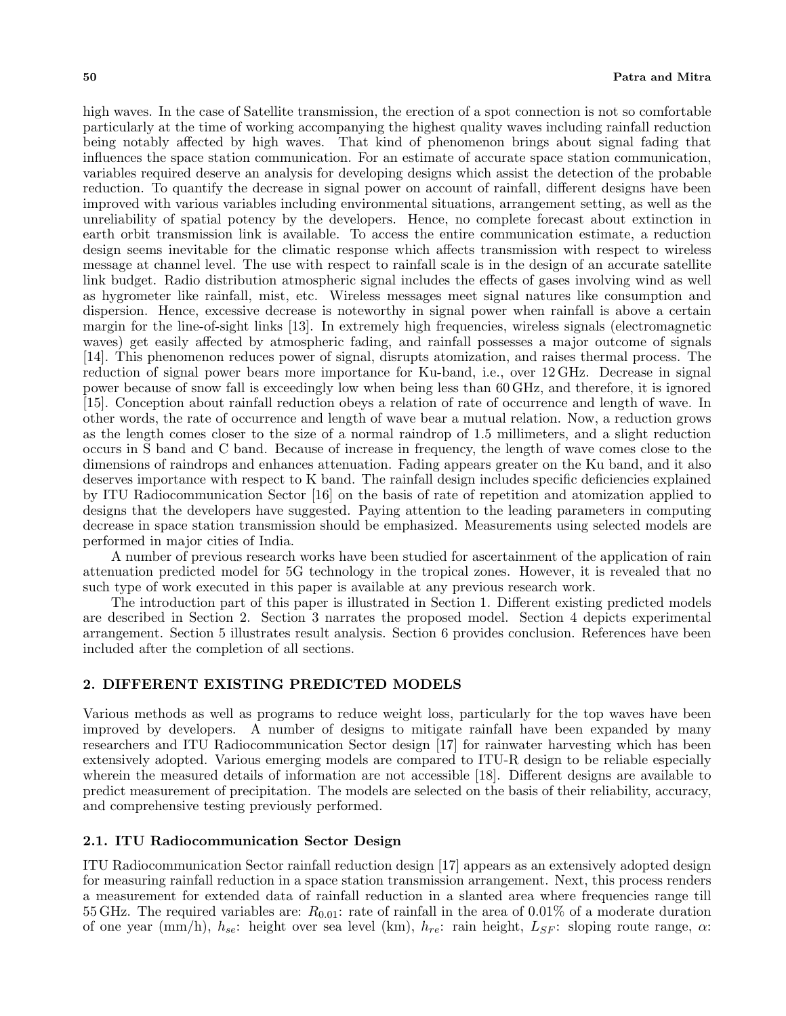high waves. In the case of Satellite transmission, the erection of a spot connection is not so comfortable particularly at the time of working accompanying the highest quality waves including rainfall reduction being notably affected by high waves. That kind of phenomenon brings about signal fading that influences the space station communication. For an estimate of accurate space station communication, variables required deserve an analysis for developing designs which assist the detection of the probable reduction. To quantify the decrease in signal power on account of rainfall, different designs have been improved with various variables including environmental situations, arrangement setting, as well as the unreliability of spatial potency by the developers. Hence, no complete forecast about extinction in earth orbit transmission link is available. To access the entire communication estimate, a reduction design seems inevitable for the climatic response which affects transmission with respect to wireless message at channel level. The use with respect to rainfall scale is in the design of an accurate satellite link budget. Radio distribution atmospheric signal includes the effects of gases involving wind as well as hygrometer like rainfall, mist, etc. Wireless messages meet signal natures like consumption and dispersion. Hence, excessive decrease is noteworthy in signal power when rainfall is above a certain margin for the line-of-sight links [13]. In extremely high frequencies, wireless signals (electromagnetic waves) get easily affected by atmospheric fading, and rainfall possesses a major outcome of signals [14]. This phenomenon reduces power of signal, disrupts atomization, and raises thermal process. The reduction of signal power bears more importance for Ku-band, i.e., over 12 GHz. Decrease in signal power because of snow fall is exceedingly low when being less than 60 GHz, and therefore, it is ignored [15]. Conception about rainfall reduction obeys a relation of rate of occurrence and length of wave. In other words, the rate of occurrence and length of wave bear a mutual relation. Now, a reduction grows as the length comes closer to the size of a normal raindrop of 1.5 millimeters, and a slight reduction occurs in S band and C band. Because of increase in frequency, the length of wave comes close to the dimensions of raindrops and enhances attenuation. Fading appears greater on the Ku band, and it also deserves importance with respect to K band. The rainfall design includes specific deficiencies explained by ITU Radiocommunication Sector [16] on the basis of rate of repetition and atomization applied to designs that the developers have suggested. Paying attention to the leading parameters in computing decrease in space station transmission should be emphasized. Measurements using selected models are performed in major cities of India.

A number of previous research works have been studied for ascertainment of the application of rain attenuation predicted model for 5G technology in the tropical zones. However, it is revealed that no such type of work executed in this paper is available at any previous research work.

The introduction part of this paper is illustrated in Section 1. Different existing predicted models are described in Section 2. Section 3 narrates the proposed model. Section 4 depicts experimental arrangement. Section 5 illustrates result analysis. Section 6 provides conclusion. References have been included after the completion of all sections.

## **2. DIFFERENT EXISTING PREDICTED MODELS**

Various methods as well as programs to reduce weight loss, particularly for the top waves have been improved by developers. A number of designs to mitigate rainfall have been expanded by many researchers and ITU Radiocommunication Sector design [17] for rainwater harvesting which has been extensively adopted. Various emerging models are compared to ITU-R design to be reliable especially wherein the measured details of information are not accessible [18]. Different designs are available to predict measurement of precipitation. The models are selected on the basis of their reliability, accuracy, and comprehensive testing previously performed.

#### **2.1. ITU Radiocommunication Sector Design**

ITU Radiocommunication Sector rainfall reduction design [17] appears as an extensively adopted design for measuring rainfall reduction in a space station transmission arrangement. Next, this process renders a measurement for extended data of rainfall reduction in a slanted area where frequencies range till 55 GHz. The required variables are: *R*0*.*01: rate of rainfall in the area of 0.01% of a moderate duration of one year (mm/h), *hse*: height over sea level (km), *hre*: rain height, *LSF* : sloping route range, *α*: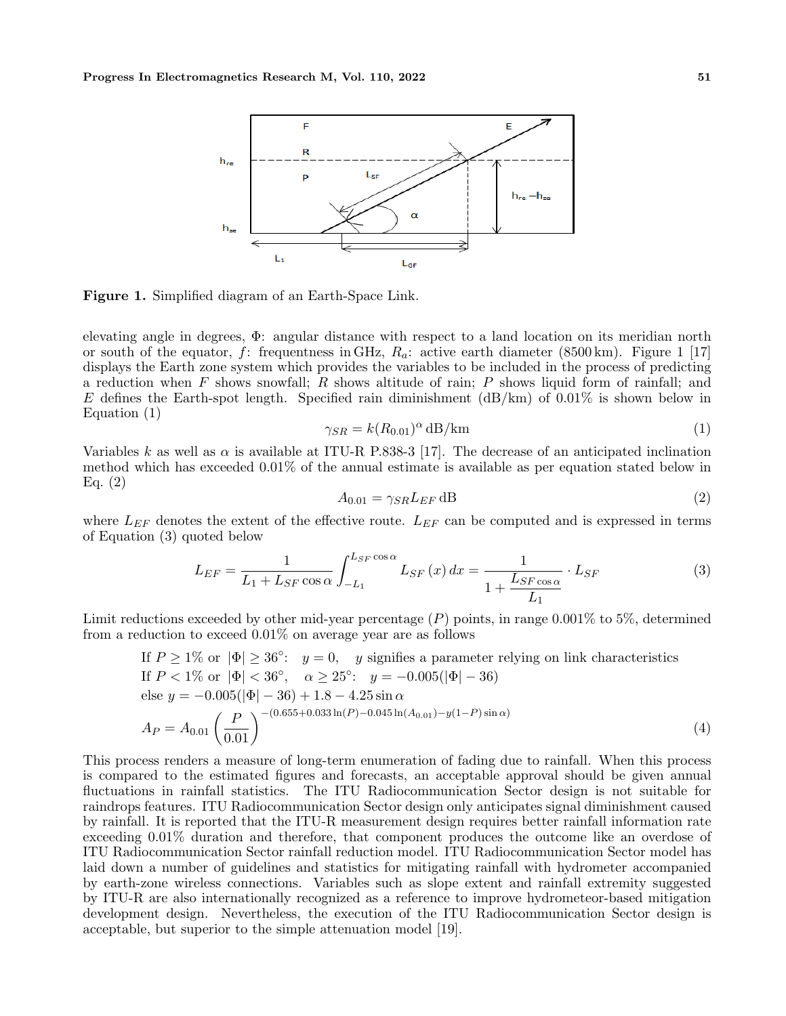

**Figure 1.** Simplified diagram of an Earth-Space Link.

elevating angle in degrees, Φ: angular distance with respect to a land location on its meridian north or south of the equator, *f*: frequentness in GHz, *Ra*: active earth diameter (8500 km). Figure 1 [17] displays the Earth zone system which provides the variables to be included in the process of predicting a reduction when *F* shows snowfall; *R* shows altitude of rain; *P* shows liquid form of rainfall; and *E* defines the Earth-spot length. Specified rain diminishment (dB/km) of 0.01% is shown below in Equation (1)

$$
\gamma_{SR} = k(R_{0.01})^{\alpha} \, \text{dB/km} \tag{1}
$$

Variables *k* as well as  $\alpha$  is available at ITU-R P.838-3 [17]. The decrease of an anticipated inclination method which has exceeded  $0.01\%$  of the annual estimate is available as per equation stated below in Eq. (2)

$$
A_{0.01} = \gamma_{SR} L_{EF} \, \text{dB} \tag{2}
$$

where *LEF* denotes the extent of the effective route. *LEF* can be computed and is expressed in terms of Equation (3) quoted below

$$
L_{EF} = \frac{1}{L_1 + L_{SF} \cos \alpha} \int_{-L_1}^{L_{SF} \cos \alpha} L_{SF}(x) dx = \frac{1}{1 + \frac{L_{SF \cos \alpha}}{L_1}} \cdot L_{SF}
$$
(3)

Limit reductions exceeded by other mid-year percentage (*P*) points, in range 0.001% to 5%, determined from a reduction to exceed 0.01% on average year are as follows

If 
$$
P \ge 1\%
$$
 or  $|\Phi| \ge 36^{\circ}$ :  $y = 0$ ,  $y$  signifies a parameter relying on link characteristics  
\nIf  $P < 1\%$  or  $|\Phi| < 36^{\circ}$ ,  $\alpha \ge 25^{\circ}$ :  $y = -0.005(|\Phi| - 36)$   
\nelse  $y = -0.005(|\Phi| - 36) + 1.8 - 4.25 \sin \alpha$   
\n
$$
A_P = A_{0.01} \left(\frac{P}{0.01}\right)^{-(0.655 + 0.033 \ln(P) - 0.045 \ln(A_{0.01}) - y(1 - P)\sin \alpha)}
$$
\n(4)

This process renders a measure of long-term enumeration of fading due to rainfall. When this process is compared to the estimated figures and forecasts, an acceptable approval should be given annual fluctuations in rainfall statistics. The ITU Radiocommunication Sector design is not suitable for raindrops features. ITU Radiocommunication Sector design only anticipates signal diminishment caused by rainfall. It is reported that the ITU-R measurement design requires better rainfall information rate exceeding 0.01% duration and therefore, that component produces the outcome like an overdose of ITU Radiocommunication Sector rainfall reduction model. ITU Radiocommunication Sector model has laid down a number of guidelines and statistics for mitigating rainfall with hydrometer accompanied by earth-zone wireless connections. Variables such as slope extent and rainfall extremity suggested by ITU-R are also internationally recognized as a reference to improve hydrometeor-based mitigation development design. Nevertheless, the execution of the ITU Radiocommunication Sector design is acceptable, but superior to the simple attenuation model [19].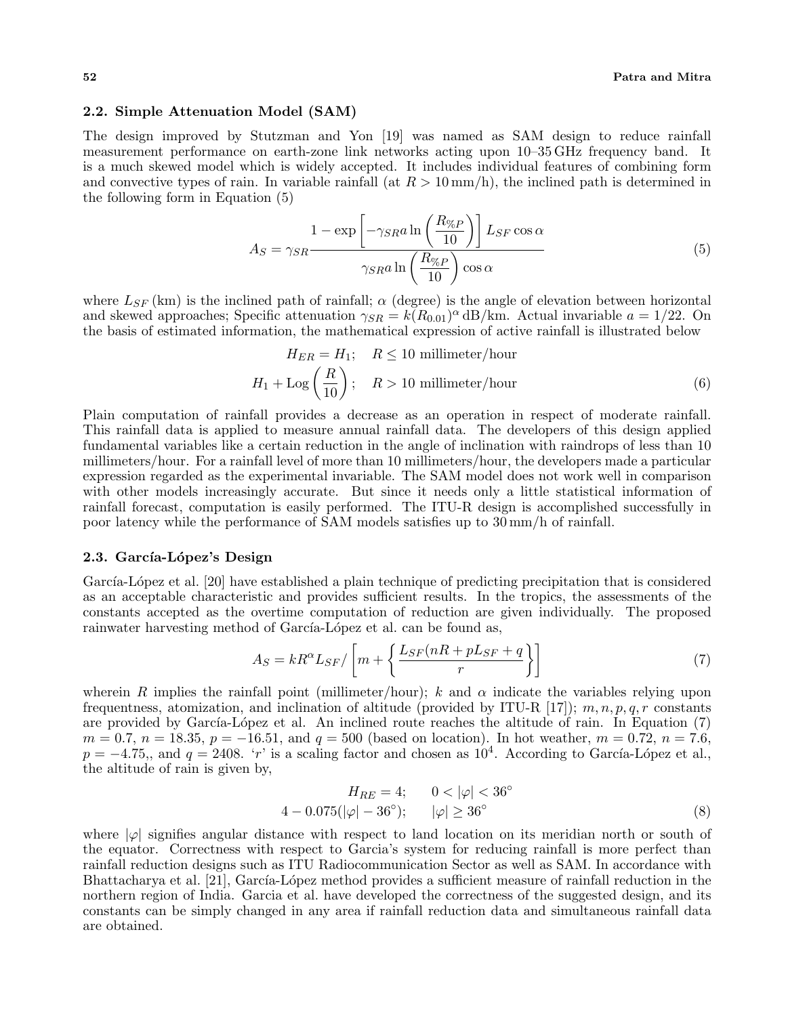## **2.2. Simple Attenuation Model (SAM)**

The design improved by Stutzman and Yon [19] was named as SAM design to reduce rainfall measurement performance on earth-zone link networks acting upon 10–35 GHz frequency band. It is a much skewed model which is widely accepted. It includes individual features of combining form and convective types of rain. In variable rainfall (at  $R > 10 \text{ mm/h}$ ), the inclined path is determined in the following form in Equation (5)

$$
A_S = \gamma_{SR} \frac{1 - \exp\left[-\gamma_{SR} a \ln\left(\frac{R_{\%P}}{10}\right)\right] L_{SF} \cos\alpha}{\gamma_{SR} a \ln\left(\frac{R_{\%P}}{10}\right) \cos\alpha}
$$
(5)

where  $L_{SF}$  (km) is the inclined path of rainfall;  $\alpha$  (degree) is the angle of elevation between horizontal and skewed approaches; Specific attenuation  $\gamma_{SR} = k(R_{0.01})^{\alpha} dB/km$ . Actual invariable  $a = 1/22$ . On the basis of estimated information, the mathematical expression of active rainfall is illustrated below

$$
H_{ER} = H_1; \quad R \le 10 \text{ millimeter/hour}
$$
  

$$
H_1 + \text{Log}\left(\frac{R}{10}\right); \quad R > 10 \text{ millimeter/hour}
$$
(6)

Plain computation of rainfall provides a decrease as an operation in respect of moderate rainfall. This rainfall data is applied to measure annual rainfall data. The developers of this design applied fundamental variables like a certain reduction in the angle of inclination with raindrops of less than 10 millimeters/hour. For a rainfall level of more than 10 millimeters/hour, the developers made a particular expression regarded as the experimental invariable. The SAM model does not work well in comparison with other models increasingly accurate. But since it needs only a little statistical information of rainfall forecast, computation is easily performed. The ITU-R design is accomplished successfully in poor latency while the performance of SAM models satisfies up to 30 mm/h of rainfall.

## 2.3. García-López's Design

García-López et al. [20] have established a plain technique of predicting precipitation that is considered as an acceptable characteristic and provides sufficient results. In the tropics, the assessments of the constants accepted as the overtime computation of reduction are given individually. The proposed rainwater harvesting method of García-López et al. can be found as,

$$
A_S = kR^{\alpha} L_{SF} / \left[ m + \left\{ \frac{L_{SF}(nR + pL_{SF} + q)}{r} \right\} \right]
$$
 (7)

wherein *R* implies the rainfall point (millimeter/hour); *k* and  $\alpha$  indicate the variables relying upon frequentness, atomization, and inclination of altitude (provided by ITU-R [17]); *m, n, p, q, r* constants are provided by García-López et al. An inclined route reaches the altitude of rain. In Equation (7) *m* = 0*.*7*, n* = 18*.*35*, p* = −16*.*51*,* and *q* = 500 (based on location). In hot weather, *m* = 0*.*72*, n* = 7*.*6*,*  $p = -4.75$ ,, and  $q = 2408$ . '*r*' is a scaling factor and chosen as 10<sup>4</sup>. According to García-López et al., the altitude of rain is given by,

$$
H_{RE} = 4; \t 0 < |\varphi| < 36^{\circ}
$$
  
4 - 0.075(|\varphi| - 36^{\circ}); \t |\varphi| \ge 36^{\circ} (8)

where  $|\varphi|$  signifies angular distance with respect to land location on its meridian north or south of the equator. Correctness with respect to Garcia's system for reducing rainfall is more perfect than rainfall reduction designs such as ITU Radiocommunication Sector as well as SAM. In accordance with Bhattacharya et al. [21], García-López method provides a sufficient measure of rainfall reduction in the northern region of India. Garcia et al. have developed the correctness of the suggested design, and its constants can be simply changed in any area if rainfall reduction data and simultaneous rainfall data are obtained.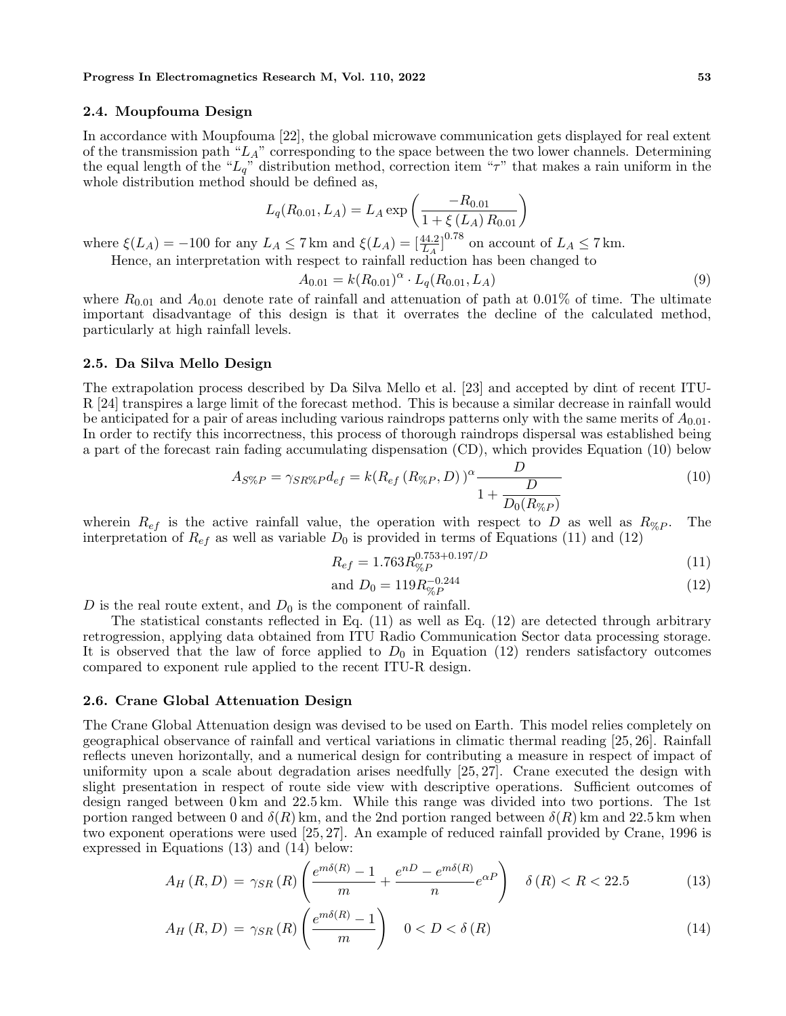#### **Progress In Electromagnetics Research M, Vol. 110, 2022 53**

## **2.4. Moupfouma Design**

In accordance with Moupfouma [22], the global microwave communication gets displayed for real extent of the transmission path " $L_A$ " corresponding to the space between the two lower channels. Determining the equal length of the "*Lq*" distribution method, correction item "*τ*" that makes a rain uniform in the whole distribution method should be defined as,

$$
L_q(R_{0.01}, L_A) = L_A \exp\left(\frac{-R_{0.01}}{1 + \xi(L_A) R_{0.01}}\right)
$$

where  $\xi(L_A) = -100$  for any  $L_A \le 7 \text{ km}$  and  $\xi(L_A) = \left[\frac{44.2}{L_A}\right]^{0.78}$  on account of  $L_A \le 7 \text{ km}$ .

Hence, an interpretation with respect to rainfall reduction has been changed to

$$
A_{0.01} = k(R_{0.01})^{\alpha} \cdot L_q(R_{0.01}, L_A)
$$
\n(9)

where  $R_{0.01}$  and  $A_{0.01}$  denote rate of rainfall and attenuation of path at 0.01% of time. The ultimate important disadvantage of this design is that it overrates the decline of the calculated method, particularly at high rainfall levels.

### **2.5. Da Silva Mello Design**

The extrapolation process described by Da Silva Mello et al. [23] and accepted by dint of recent ITU-R [24] transpires a large limit of the forecast method. This is because a similar decrease in rainfall would be anticipated for a pair of areas including various raindrops patterns only with the same merits of  $A_{0,01}$ . In order to rectify this incorrectness, this process of thorough raindrops dispersal was established being a part of the forecast rain fading accumulating dispensation (CD), which provides Equation (10) below

$$
A_{S\%P} = \gamma_{SR\%P} d_{ef} = k(R_{ef} (R_{\%P}, D))^{\alpha} \frac{D}{1 + \frac{D}{D_0(R_{\%P})}}
$$
(10)

wherein  $R_{ef}$  is the active rainfall value, the operation with respect to *D* as well as  $R_{\%P}$ . The interpretation of  $R_{ef}$  as well as variable  $D_0$  is provided in terms of Equations (11) and (12)

$$
R_{ef} = 1.763 R_{\%P}^{0.753+0.197/D} \tag{11}
$$

and 
$$
D_0 = 119 R_{\%P}^{-0.244}
$$
 (12)

*D* is the real route extent, and  $D_0$  is the component of rainfall.

The statistical constants reflected in Eq.  $(11)$  as well as Eq.  $(12)$  are detected through arbitrary retrogression, applying data obtained from ITU Radio Communication Sector data processing storage. It is observed that the law of force applied to  $D_0$  in Equation (12) renders satisfactory outcomes compared to exponent rule applied to the recent ITU-R design.

#### **2.6. Crane Global Attenuation Design**

The Crane Global Attenuation design was devised to be used on Earth. This model relies completely on geographical observance of rainfall and vertical variations in climatic thermal reading [25, 26]. Rainfall reflects uneven horizontally, and a numerical design for contributing a measure in respect of impact of uniformity upon a scale about degradation arises needfully [25, 27]. Crane executed the design with slight presentation in respect of route side view with descriptive operations. Sufficient outcomes of design ranged between  $0 \text{ km}$  and  $22.5 \text{ km}$ . While this range was divided into two portions. The 1st portion ranged between 0 and  $\delta(R)$  km, and the 2nd portion ranged between  $\delta(R)$  km and 22.5 km when two exponent operations were used [25, 27]. An example of reduced rainfall provided by Crane, 1996 is expressed in Equations (13) and (14) below:

$$
A_H(R,D) = \gamma_{SR}(R) \left( \frac{e^{m\delta(R)} - 1}{m} + \frac{e^{nD} - e^{m\delta(R)}}{n} e^{\alpha P} \right) \quad \delta(R) < R < 22.5 \tag{13}
$$

$$
A_H(R, D) = \gamma_{SR}(R) \left( \frac{e^{m\delta(R)} - 1}{m} \right) \quad 0 < D < \delta(R) \tag{14}
$$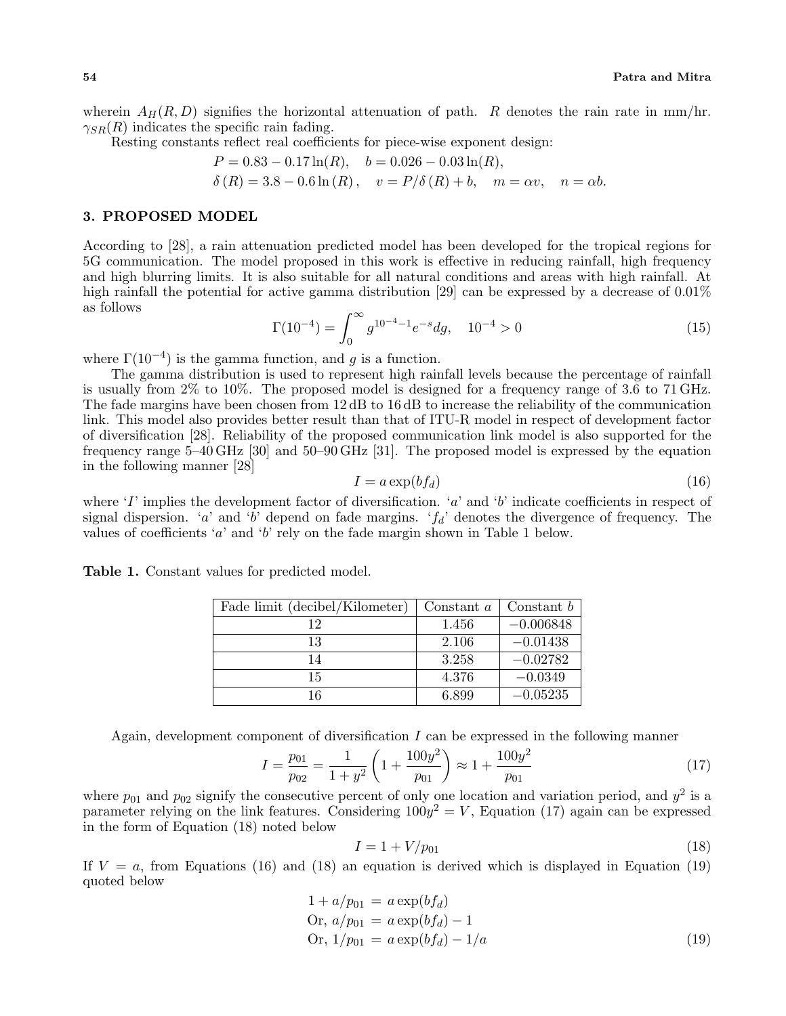wherein  $A_H(R, D)$  signifies the horizontal attenuation of path. *R* denotes the rain rate in mm/hr.  $\gamma_{SR}(R)$  indicates the specific rain fading.

Resting constants reflect real coefficients for piece-wise exponent design:

$$
P = 0.83 - 0.17 \ln(R), \quad b = 0.026 - 0.03 \ln(R),
$$
  
\n
$$
\delta(R) = 3.8 - 0.6 \ln(R), \quad v = P/\delta(R) + b, \quad m = \alpha v, \quad n = \alpha b.
$$

#### **3. PROPOSED MODEL**

According to [28], a rain attenuation predicted model has been developed for the tropical regions for 5G communication. The model proposed in this work is effective in reducing rainfall, high frequency and high blurring limits. It is also suitable for all natural conditions and areas with high rainfall. At high rainfall the potential for active gamma distribution [29] can be expressed by a decrease of  $0.01\%$ as follows

$$
\Gamma(10^{-4}) = \int_0^\infty g^{10^{-4} - 1} e^{-s} dg, \quad 10^{-4} > 0 \tag{15}
$$

where  $\Gamma(10^{-4})$  is the gamma function, and *g* is a function.

The gamma distribution is used to represent high rainfall levels because the percentage of rainfall is usually from 2% to 10%. The proposed model is designed for a frequency range of 3.6 to 71 GHz. The fade margins have been chosen from 12 dB to 16 dB to increase the reliability of the communication link. This model also provides better result than that of ITU-R model in respect of development factor of diversification [28]. Reliability of the proposed communication link model is also supported for the frequency range 5–40 GHz [30] and 50–90 GHz [31]. The proposed model is expressed by the equation in the following manner [28]

$$
I = a \exp(b f_d) \tag{16}
$$

where '*I*' implies the development factor of diversification. '*a*' and '*b*' indicate coefficients in respect of signal dispersion. '*a*' and '*b*' depend on fade margins. ' $f_d$ ' denotes the divergence of frequency. The values of coefficients '*a*' and '*b*' rely on the fade margin shown in Table 1 below.

| Fade limit (decibel/Kilometer) | Constant $a$ | Constant $b$ |
|--------------------------------|--------------|--------------|
| 19                             | 1.456        | $-0.006848$  |
| 13                             | 2.106        | $-0.01438$   |
| 14                             | 3.258        | $-0.02782$   |
| 15                             | 4.376        | $-0.0349$    |
| 16                             | 6.899        | $-0.05235$   |

**Table 1.** Constant values for predicted model.

Again, development component of diversification *I* can be expressed in the following manner

$$
I = \frac{p_{01}}{p_{02}} = \frac{1}{1+y^2} \left( 1 + \frac{100y^2}{p_{01}} \right) \approx 1 + \frac{100y^2}{p_{01}} \tag{17}
$$

where  $p_{01}$  and  $p_{02}$  signify the consecutive percent of only one location and variation period, and  $y^2$  is a parameter relying on the link features. Considering  $100y^2 = V$ , Equation (17) again can be expressed in the form of Equation (18) noted below

$$
I = 1 + V/p_{01} \tag{18}
$$

If  $V = a$ , from Equations (16) and (18) an equation is derived which is displayed in Equation (19) quoted below

$$
1 + a/p_{01} = a \exp(bf_d)
$$
  
Or,  $a/p_{01} = a \exp(bf_d) - 1$   
Or,  $1/p_{01} = a \exp(bf_d) - 1/a$  (19)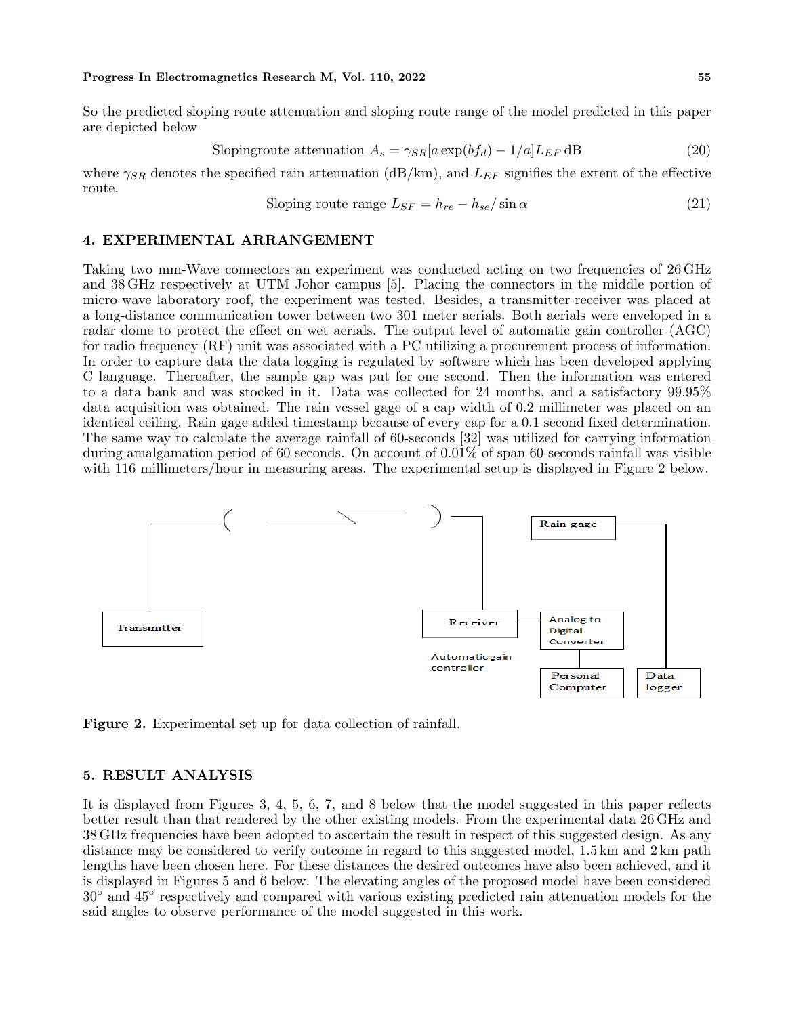#### **Progress In Electromagnetics Research M, Vol. 110, 2022 55**

So the predicted sloping route attenuation and sloping route range of the model predicted in this paper are depicted below

Slopingroute attenuation 
$$
A_s = \gamma_{SR} [a \exp(b f_d) - 1/a] L_{EF} dB
$$
 (20)

where  $\gamma_{SR}$  denotes the specified rain attenuation (dB/km), and  $L_{EF}$  signifies the extent of the effective route.

Sloping route range 
$$
L_{SF} = h_{re} - h_{se} / \sin \alpha
$$
 (21)

## **4. EXPERIMENTAL ARRANGEMENT**

Taking two mm-Wave connectors an experiment was conducted acting on two frequencies of 26 GHz and 38 GHz respectively at UTM Johor campus [5]. Placing the connectors in the middle portion of micro-wave laboratory roof, the experiment was tested. Besides, a transmitter-receiver was placed at a long-distance communication tower between two 301 meter aerials. Both aerials were enveloped in a radar dome to protect the effect on wet aerials. The output level of automatic gain controller (AGC) for radio frequency (RF) unit was associated with a PC utilizing a procurement process of information. In order to capture data the data logging is regulated by software which has been developed applying C language. Thereafter, the sample gap was put for one second. Then the information was entered to a data bank and was stocked in it. Data was collected for 24 months, and a satisfactory 99.95% data acquisition was obtained. The rain vessel gage of a cap width of 0.2 millimeter was placed on an identical ceiling. Rain gage added timestamp because of every cap for a 0.1 second fixed determination. The same way to calculate the average rainfall of 60-seconds [32] was utilized for carrying information during amalgamation period of 60 seconds. On account of 0.01% of span 60-seconds rainfall was visible with 116 millimeters/hour in measuring areas. The experimental setup is displayed in Figure 2 below.



**Figure 2.** Experimental set up for data collection of rainfall.

## **5. RESULT ANALYSIS**

It is displayed from Figures 3, 4, 5, 6, 7, and 8 below that the model suggested in this paper reflects better result than that rendered by the other existing models. From the experimental data 26 GHz and 38 GHz frequencies have been adopted to ascertain the result in respect of this suggested design. As any distance may be considered to verify outcome in regard to this suggested model, 1.5 km and 2 km path lengths have been chosen here. For these distances the desired outcomes have also been achieved, and it is displayed in Figures 5 and 6 below. The elevating angles of the proposed model have been considered 30*◦* and 45*◦* respectively and compared with various existing predicted rain attenuation models for the said angles to observe performance of the model suggested in this work.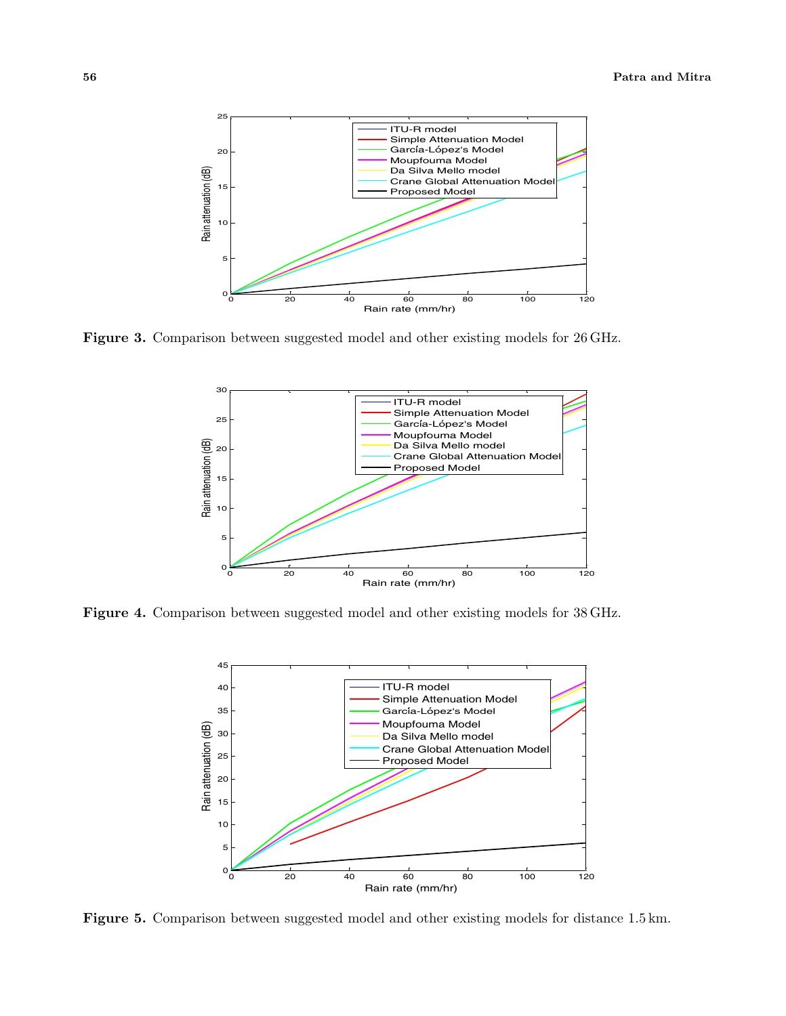

**Figure 3.** Comparison between suggested model and other existing models for 26 GHz.



**Figure 4.** Comparison between suggested model and other existing models for 38 GHz.



**Figure 5.** Comparison between suggested model and other existing models for distance 1.5 km.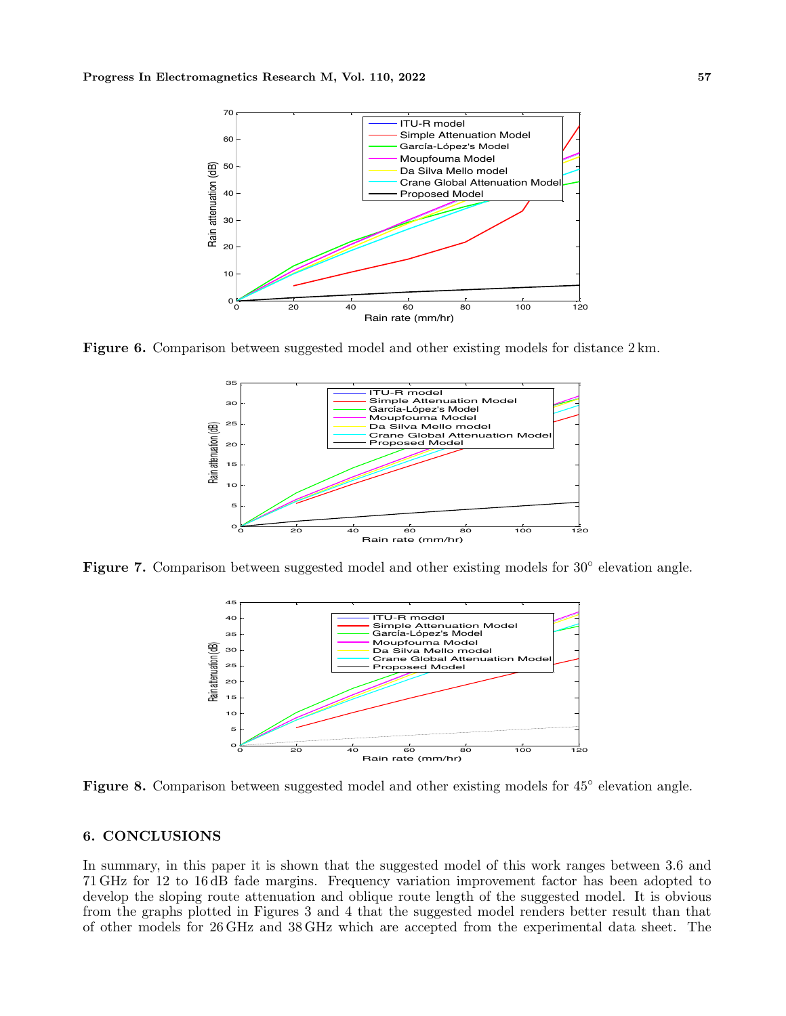

Figure 6. Comparison between suggested model and other existing models for distance 2 km.



Figure 7. Comparison between suggested model and other existing models for 30<sup>°</sup> elevation angle.



**Figure 8.** Comparison between suggested model and other existing models for 45*◦* elevation angle.

## **6. CONCLUSIONS**

In summary, in this paper it is shown that the suggested model of this work ranges between 3.6 and 71 GHz for 12 to 16 dB fade margins. Frequency variation improvement factor has been adopted to develop the sloping route attenuation and oblique route length of the suggested model. It is obvious from the graphs plotted in Figures 3 and 4 that the suggested model renders better result than that of other models for 26 GHz and 38 GHz which are accepted from the experimental data sheet. The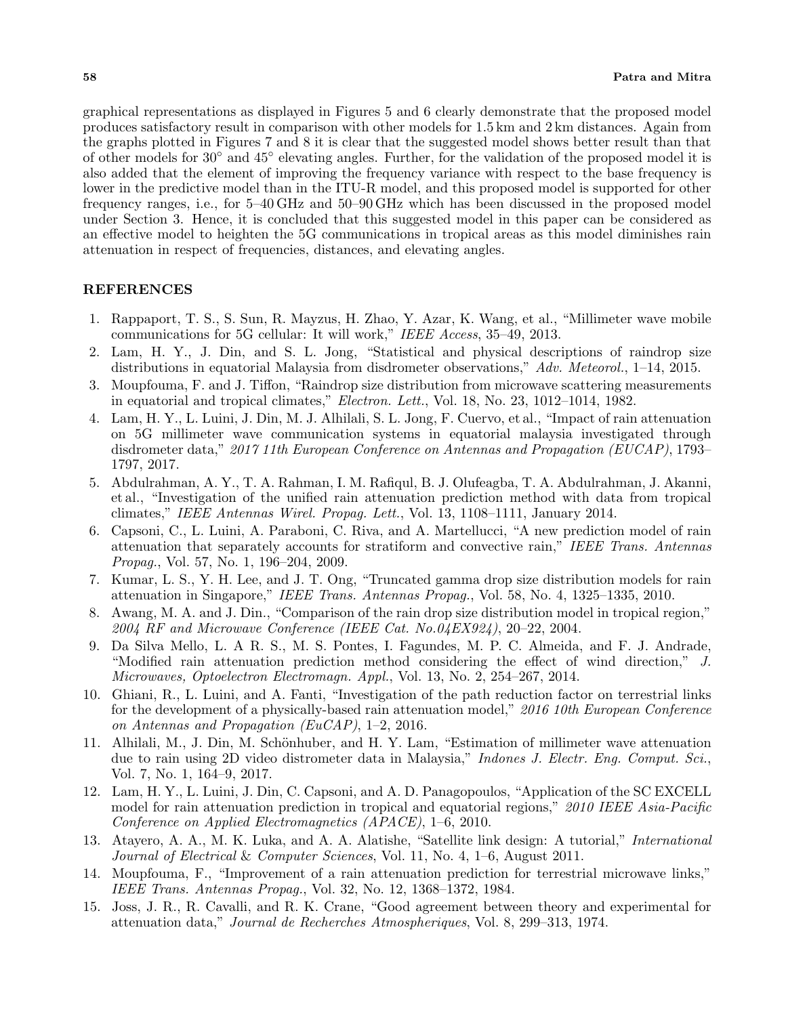graphical representations as displayed in Figures 5 and 6 clearly demonstrate that the proposed model produces satisfactory result in comparison with other models for 1.5 km and 2 km distances. Again from the graphs plotted in Figures 7 and 8 it is clear that the suggested model shows better result than that of other models for 30*◦* and 45*◦* elevating angles. Further, for the validation of the proposed model it is also added that the element of improving the frequency variance with respect to the base frequency is lower in the predictive model than in the ITU-R model, and this proposed model is supported for other frequency ranges, i.e., for 5–40 GHz and 50–90 GHz which has been discussed in the proposed model under Section 3. Hence, it is concluded that this suggested model in this paper can be considered as an effective model to heighten the 5G communications in tropical areas as this model diminishes rain attenuation in respect of frequencies, distances, and elevating angles.

## **REFERENCES**

- 1. Rappaport, T. S., S. Sun, R. Mayzus, H. Zhao, Y. Azar, K. Wang, et al., "Millimeter wave mobile communications for 5G cellular: It will work," *IEEE Access*, 35–49, 2013.
- 2. Lam, H. Y., J. Din, and S. L. Jong, "Statistical and physical descriptions of raindrop size distributions in equatorial Malaysia from disdrometer observations," *Adv. Meteorol.*, 1–14, 2015.
- 3. Moupfouma, F. and J. Tiffon, "Raindrop size distribution from microwave scattering measurements in equatorial and tropical climates," *Electron. Lett.*, Vol. 18, No. 23, 1012–1014, 1982.
- 4. Lam, H. Y., L. Luini, J. Din, M. J. Alhilali, S. L. Jong, F. Cuervo, et al., "Impact of rain attenuation on 5G millimeter wave communication systems in equatorial malaysia investigated through disdrometer data," *2017 11th European Conference on Antennas and Propagation (EUCAP)*, 1793– 1797, 2017.
- 5. Abdulrahman, A. Y., T. A. Rahman, I. M. Rafiqul, B. J. Olufeagba, T. A. Abdulrahman, J. Akanni, et al., "Investigation of the unified rain attenuation prediction method with data from tropical climates," *IEEE Antennas Wirel. Propag. Lett.*, Vol. 13, 1108–1111, January 2014.
- 6. Capsoni, C., L. Luini, A. Paraboni, C. Riva, and A. Martellucci, "A new prediction model of rain attenuation that separately accounts for stratiform and convective rain," *IEEE Trans. Antennas Propag.*, Vol. 57, No. 1, 196–204, 2009.
- 7. Kumar, L. S., Y. H. Lee, and J. T. Ong, "Truncated gamma drop size distribution models for rain attenuation in Singapore," *IEEE Trans. Antennas Propag.*, Vol. 58, No. 4, 1325–1335, 2010.
- 8. Awang, M. A. and J. Din., "Comparison of the rain drop size distribution model in tropical region," *2004 RF and Microwave Conference (IEEE Cat. No.04EX924)*, 20–22, 2004.
- 9. Da Silva Mello, L. A R. S., M. S. Pontes, I. Fagundes, M. P. C. Almeida, and F. J. Andrade, "Modified rain attenuation prediction method considering the effect of wind direction," *J. Microwaves, Optoelectron Electromagn. Appl.*, Vol. 13, No. 2, 254–267, 2014.
- 10. Ghiani, R., L. Luini, and A. Fanti, "Investigation of the path reduction factor on terrestrial links for the development of a physically-based rain attenuation model," *2016 10th European Conference on Antennas and Propagation (EuCAP)*, 1–2, 2016.
- 11. Alhilali, M., J. Din, M. Schönhuber, and H. Y. Lam, "Estimation of millimeter wave attenuation due to rain using 2D video distrometer data in Malaysia," *Indones J. Electr. Eng. Comput. Sci.*, Vol. 7, No. 1, 164–9, 2017.
- 12. Lam, H. Y., L. Luini, J. Din, C. Capsoni, and A. D. Panagopoulos, "Application of the SC EXCELL model for rain attenuation prediction in tropical and equatorial regions," *2010 IEEE Asia-Pacific Conference on Applied Electromagnetics (APACE)*, 1–6, 2010.
- 13. Atayero, A. A., M. K. Luka, and A. A. Alatishe, "Satellite link design: A tutorial," *International Journal of Electrical* & *Computer Sciences*, Vol. 11, No. 4, 1–6, August 2011.
- 14. Moupfouma, F., "Improvement of a rain attenuation prediction for terrestrial microwave links," *IEEE Trans. Antennas Propag.*, Vol. 32, No. 12, 1368–1372, 1984.
- 15. Joss, J. R., R. Cavalli, and R. K. Crane, "Good agreement between theory and experimental for attenuation data," *Journal de Recherches Atmospheriques*, Vol. 8, 299–313, 1974.